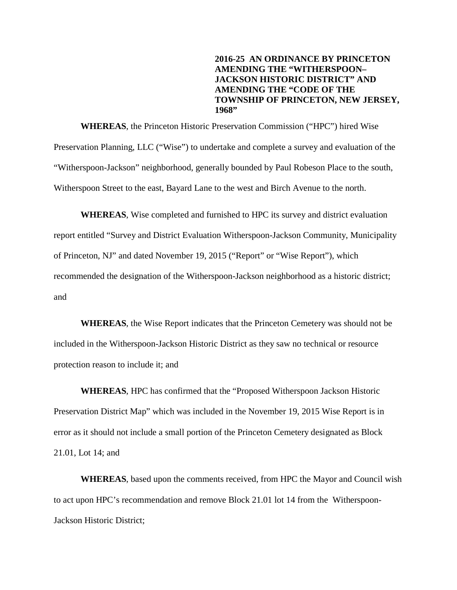**2016-25 AN ORDINANCE BY PRINCETON AMENDING THE "WITHERSPOON– JACKSON HISTORIC DISTRICT" AND AMENDING THE "CODE OF THE TOWNSHIP OF PRINCETON, NEW JERSEY, 1968"** 

**WHEREAS**, the Princeton Historic Preservation Commission ("HPC") hired Wise Preservation Planning, LLC ("Wise") to undertake and complete a survey and evaluation of the "Witherspoon-Jackson" neighborhood, generally bounded by Paul Robeson Place to the south, Witherspoon Street to the east, Bayard Lane to the west and Birch Avenue to the north.

**WHEREAS**, Wise completed and furnished to HPC its survey and district evaluation report entitled "Survey and District Evaluation Witherspoon-Jackson Community, Municipality of Princeton, NJ" and dated November 19, 2015 ("Report" or "Wise Report"), which recommended the designation of the Witherspoon-Jackson neighborhood as a historic district; and

**WHEREAS**, the Wise Report indicates that the Princeton Cemetery was should not be included in the Witherspoon-Jackson Historic District as they saw no technical or resource protection reason to include it; and

**WHEREAS**, HPC has confirmed that the "Proposed Witherspoon Jackson Historic Preservation District Map" which was included in the November 19, 2015 Wise Report is in error as it should not include a small portion of the Princeton Cemetery designated as Block 21.01, Lot 14; and

**WHEREAS**, based upon the comments received, from HPC the Mayor and Council wish to act upon HPC's recommendation and remove Block 21.01 lot 14 from the Witherspoon-Jackson Historic District;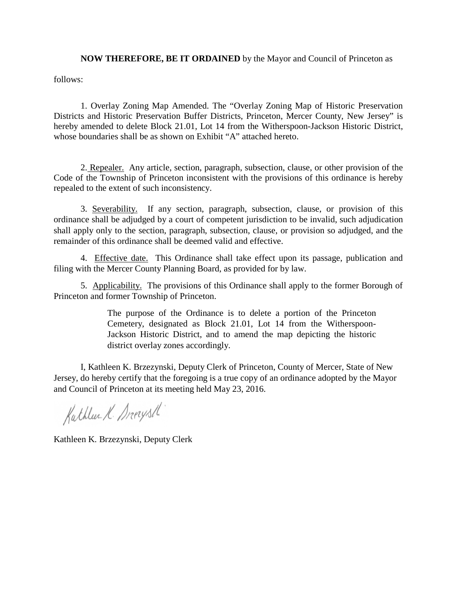**NOW THEREFORE, BE IT ORDAINED** by the Mayor and Council of Princeton as

follows:

1. Overlay Zoning Map Amended. The "Overlay Zoning Map of Historic Preservation Districts and Historic Preservation Buffer Districts, Princeton, Mercer County, New Jersey" is hereby amended to delete Block 21.01, Lot 14 from the Witherspoon-Jackson Historic District, whose boundaries shall be as shown on Exhibit "A" attached hereto.

2. Repealer. Any article, section, paragraph, subsection, clause, or other provision of the Code of the Township of Princeton inconsistent with the provisions of this ordinance is hereby repealed to the extent of such inconsistency.

3. Severability. If any section, paragraph, subsection, clause, or provision of this ordinance shall be adjudged by a court of competent jurisdiction to be invalid, such adjudication shall apply only to the section, paragraph, subsection, clause, or provision so adjudged, and the remainder of this ordinance shall be deemed valid and effective.

4. Effective date. This Ordinance shall take effect upon its passage, publication and filing with the Mercer County Planning Board, as provided for by law.

5. Applicability. The provisions of this Ordinance shall apply to the former Borough of Princeton and former Township of Princeton.

> The purpose of the Ordinance is to delete a portion of the Princeton Cemetery, designated as Block 21.01, Lot 14 from the Witherspoon-Jackson Historic District, and to amend the map depicting the historic district overlay zones accordingly.

I, Kathleen K. Brzezynski, Deputy Clerk of Princeton, County of Mercer, State of New Jersey, do hereby certify that the foregoing is a true copy of an ordinance adopted by the Mayor and Council of Princeton at its meeting held May 23, 2016.

Kathlee K. Drerysth

Kathleen K. Brzezynski, Deputy Clerk